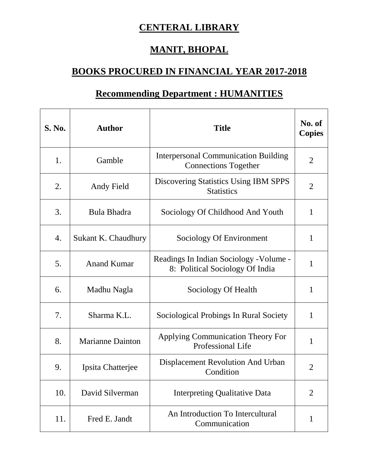## **CENTERAL LIBRARY**

## **MANIT, BHOPAL**

## **BOOKS PROCURED IN FINANCIAL YEAR 2017-2018**

## **Recommending Department : HUMANITIES**

| <b>S. No.</b> | <b>Author</b>           | <b>Title</b>                                                               | No. of<br><b>Copies</b> |
|---------------|-------------------------|----------------------------------------------------------------------------|-------------------------|
| 1.            | Gamble                  | <b>Interpersonal Communication Building</b><br><b>Connections Together</b> | $\overline{2}$          |
| 2.            | Andy Field              | <b>Discovering Statistics Using IBM SPPS</b><br><b>Statistics</b>          | $\overline{2}$          |
| 3.            | Bula Bhadra             | Sociology Of Childhood And Youth                                           | 1                       |
| 4.            | Sukant K. Chaudhury     | Sociology Of Environment                                                   | 1                       |
| 5.            | <b>Anand Kumar</b>      | Readings In Indian Sociology - Volume -<br>8: Political Sociology Of India | 1                       |
| 6.            | Madhu Nagla             | Sociology Of Health                                                        | 1                       |
| 7.            | Sharma K.L.             | Sociological Probings In Rural Society                                     | 1                       |
| 8.            | <b>Marianne Dainton</b> | Applying Communication Theory For<br>Professional Life                     | 1                       |
| 9.            | Ipsita Chatterjee       | Displacement Revolution And Urban<br>Condition                             | $\overline{2}$          |
| 10.           | David Silverman         | <b>Interpreting Qualitative Data</b>                                       | 2                       |
| 11.           | Fred E. Jandt           | An Introduction To Intercultural<br>Communication                          | 1                       |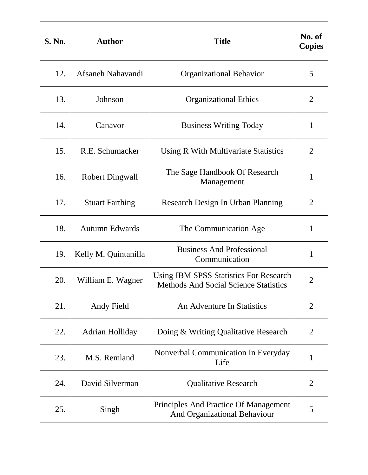| <b>S. No.</b> | <b>Author</b>          | <b>Title</b>                                                                                  | No. of<br><b>Copies</b> |
|---------------|------------------------|-----------------------------------------------------------------------------------------------|-------------------------|
| 12.           | Afsaneh Nahavandi      | <b>Organizational Behavior</b>                                                                | 5                       |
| 13.           | Johnson                | <b>Organizational Ethics</b>                                                                  | 2                       |
| 14.           | Canavor                | <b>Business Writing Today</b>                                                                 | $\mathbf{1}$            |
| 15.           | R.E. Schumacker        | Using R With Multivariate Statistics                                                          | $\overline{2}$          |
| 16.           | <b>Robert Dingwall</b> | The Sage Handbook Of Research<br>Management                                                   | 1                       |
| 17.           | <b>Stuart Farthing</b> | Research Design In Urban Planning                                                             | 2                       |
| 18.           | <b>Autumn Edwards</b>  | The Communication Age                                                                         | $\mathbf{1}$            |
| 19.           | Kelly M. Quintanilla   | <b>Business And Professional</b><br>Communication                                             | $\mathbf{1}$            |
| 20.           | William E. Wagner      | <b>Using IBM SPSS Statistics For Research</b><br><b>Methods And Social Science Statistics</b> | $\overline{2}$          |
| 21.           | Andy Field             | An Adventure In Statistics                                                                    | $\overline{2}$          |
| 22.           | Adrian Holliday        | Doing & Writing Qualitative Research                                                          | $\overline{2}$          |
| 23.           | M.S. Remland           | Nonverbal Communication In Everyday<br>Life                                                   | 1                       |
| 24.           | David Silverman        | <b>Qualitative Research</b>                                                                   | 2                       |
| 25.           | Singh                  | Principles And Practice Of Management<br>And Organizational Behaviour                         | 5                       |